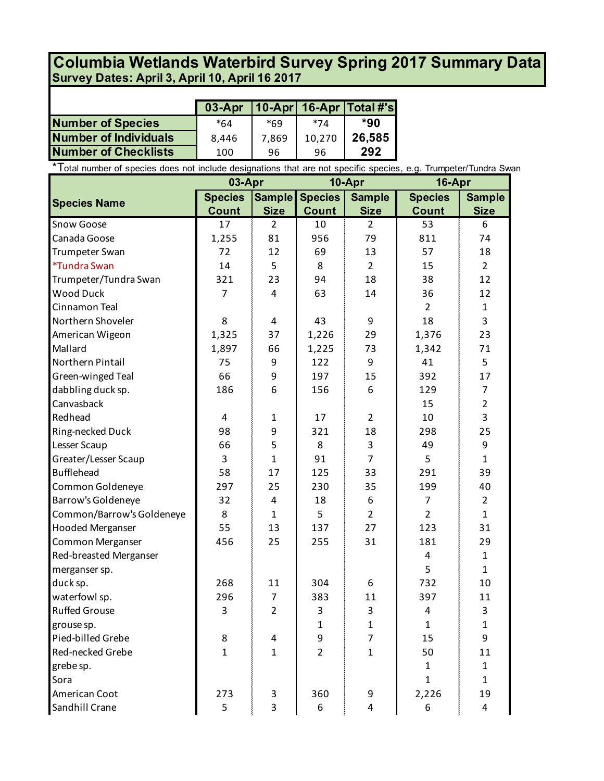## **Survey Dates: April 3, April 10, April 16 2017 Columbia Wetlands Waterbird Survey Spring 2017 Summary Data**

|                             | $03-Apr$   10-Apr   16-Apr   Total #'s |       |        |        |
|-----------------------------|----------------------------------------|-------|--------|--------|
| <b>Number of Species</b>    | *64                                    | $*69$ | $*71$  | *90    |
| Number of Individuals       | 8.446                                  | 7.869 | 10,270 | 26,585 |
| <b>Number of Checklists</b> | 100                                    | 96    | 96     | 292    |

\*Total number of species does not include designations that are not specific species, e.g. Trumpeter/Tundra Swan

|                           | 10-Apr<br>03-Apr |                | 16-Apr         |                |                |                |
|---------------------------|------------------|----------------|----------------|----------------|----------------|----------------|
| <b>Species Name</b>       | <b>Species</b>   | <b>Sample</b>  | <b>Species</b> | <b>Sample</b>  | <b>Species</b> | <b>Sample</b>  |
|                           | <b>Count</b>     | <b>Size</b>    | <b>Count</b>   | <b>Size</b>    | <b>Count</b>   | <b>Size</b>    |
| Snow Goose                | 17               | $\overline{2}$ | 10             | $\overline{2}$ | 53             | 6              |
| Canada Goose              | 1,255            | 81             | 956            | 79             | 811            | 74             |
| Trumpeter Swan            | 72               | 12             | 69             | 13             | 57             | 18             |
| *Tundra Swan              | 14               | 5              | 8              | $\overline{2}$ | 15             | $\overline{2}$ |
| Trumpeter/Tundra Swan     | 321              | 23             | 94             | 18             | 38             | 12             |
| <b>Wood Duck</b>          | $\overline{7}$   | 4              | 63             | 14             | 36             | 12             |
| Cinnamon Teal             |                  |                |                |                | $\overline{2}$ | $\mathbf{1}$   |
| Northern Shoveler         | 8                | 4              | 43             | 9              | 18             | 3              |
| American Wigeon           | 1,325            | 37             | 1,226          | 29             | 1,376          | 23             |
| Mallard                   | 1,897            | 66             | 1,225          | 73             | 1,342          | 71             |
| Northern Pintail          | 75               | 9              | 122            | 9              | 41             | 5              |
| Green-winged Teal         | 66               | 9              | 197            | 15             | 392            | 17             |
| dabbling duck sp.         | 186              | 6              | 156            | 6              | 129            | $\overline{7}$ |
| Canvasback                |                  |                |                |                | 15             | $\overline{2}$ |
| Redhead                   | $\overline{4}$   | 1              | 17             | 2              | 10             | 3              |
| Ring-necked Duck          | 98               | 9              | 321            | 18             | 298            | 25             |
| Lesser Scaup              | 66               | 5              | 8              | 3              | 49             | 9              |
| Greater/Lesser Scaup      | 3                | $\mathbf{1}$   | 91             | $\overline{7}$ | 5              | $\mathbf{1}$   |
| <b>Bufflehead</b>         | 58               | 17             | 125            | 33             | 291            | 39             |
| Common Goldeneye          | 297              | 25             | 230            | 35             | 199            | 40             |
| Barrow's Goldeneye        | 32               | 4              | 18             | 6              | $\overline{7}$ | $\overline{2}$ |
| Common/Barrow's Goldeneye | 8                | $\mathbf{1}$   | 5              | $\overline{2}$ | $\overline{2}$ | $\mathbf{1}$   |
| <b>Hooded Merganser</b>   | 55               | 13             | 137            | 27             | 123            | 31             |
| Common Merganser          | 456              | 25             | 255            | 31             | 181            | 29             |
| Red-breasted Merganser    |                  |                |                |                | $\overline{4}$ | $\mathbf{1}$   |
| merganser sp.             |                  |                |                |                | 5              | $\mathbf{1}$   |
| duck sp.                  | 268              | 11             | 304            | 6              | 732            | 10             |
| waterfowl sp.             | 296              | $\overline{7}$ | 383            | 11             | 397            | 11             |
| <b>Ruffed Grouse</b>      | 3                | $\overline{2}$ | 3              | 3              | $\overline{4}$ | 3              |
| grouse sp.                |                  |                | 1              | 1              | $\mathbf{1}$   | $\mathbf{1}$   |
| Pied-billed Grebe         | 8                | 4              | 9              | $\overline{7}$ | 15             | 9              |
| Red-necked Grebe          | $\mathbf{1}$     | $\overline{1}$ | $\overline{2}$ | $\overline{1}$ | 50             | 11             |
| grebe sp.                 |                  |                |                |                | $\mathbf{1}$   | $\mathbf{1}$   |
| Sora                      |                  |                |                |                | $\mathbf{1}$   | $\mathbf{1}$   |
| American Coot             | 273              | 3              | 360            | 9              | 2,226          | 19             |
| Sandhill Crane            | 5                | 3              | 6              | 4              | 6              | 4              |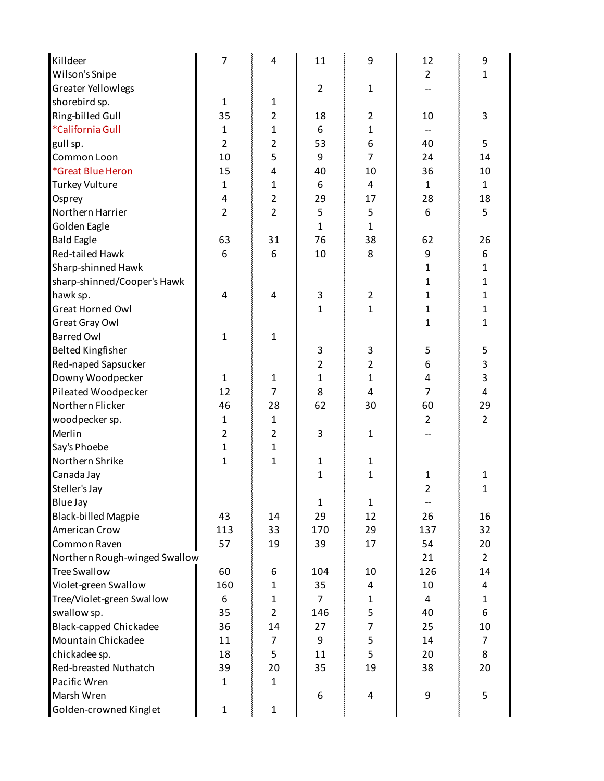| Killdeer                      | $\overline{7}$ | $\overline{4}$ | 11             | 9              | 12             | 9              |
|-------------------------------|----------------|----------------|----------------|----------------|----------------|----------------|
| Wilson's Snipe                |                |                |                |                | $\overline{2}$ | 1              |
| <b>Greater Yellowlegs</b>     |                |                | $\overline{2}$ | $\mathbf{1}$   |                |                |
| shorebird sp.                 | $\mathbf{1}$   | $\mathbf{1}$   |                |                |                |                |
| Ring-billed Gull              | 35             | $\overline{2}$ | 18             | $\overline{2}$ | 10             | 3              |
| *California Gull              | $\mathbf{1}$   | $\mathbf{1}$   | 6              | $\mathbf{1}$   |                |                |
| gull sp.                      | $\overline{2}$ | $\overline{2}$ | 53             | 6              | 40             | 5              |
| Common Loon                   | 10             | 5              | 9              | $\overline{7}$ | 24             | 14             |
| *Great Blue Heron             | 15             | 4              | 40             | 10             | 36             | 10             |
| <b>Turkey Vulture</b>         | $\mathbf{1}$   | $\mathbf{1}$   | 6              | 4              | 1              | $\mathbf{1}$   |
| Osprey                        | 4              | $\overline{2}$ | 29             | 17             | 28             | 18             |
| Northern Harrier              | $\overline{2}$ | $\overline{2}$ | 5              | 5              | 6              | 5              |
| Golden Eagle                  |                |                | $\mathbf{1}$   | $\mathbf{1}$   |                |                |
| <b>Bald Eagle</b>             | 63             | 31             | 76             | 38             | 62             | 26             |
| Red-tailed Hawk               | 6              | 6              | 10             | 8              | 9              | 6              |
| Sharp-shinned Hawk            |                |                |                |                | 1              | 1              |
| sharp-shinned/Cooper's Hawk   |                |                |                |                | 1              | 1              |
| hawk sp.                      | 4              | 4              | 3              | $\overline{2}$ | 1              | $\mathbf{1}$   |
| Great Horned Owl              |                |                | $\mathbf{1}$   | $\mathbf{1}$   | $\mathbf{1}$   | $\mathbf{1}$   |
| Great Gray Owl                |                |                |                |                | 1              | 1              |
| <b>Barred Owl</b>             | $\mathbf{1}$   | $\mathbf{1}$   |                |                |                |                |
| <b>Belted Kingfisher</b>      |                |                | 3              | 3              | 5              | 5              |
| Red-naped Sapsucker           |                |                | $\overline{2}$ | $\overline{2}$ | 6              | 3              |
| Downy Woodpecker              | $\mathbf{1}$   | $\mathbf{1}$   | $\mathbf{1}$   | $\mathbf{1}$   | 4              | 3              |
| Pileated Woodpecker           | 12             | $\overline{7}$ | 8              | 4              | 7              | 4              |
| Northern Flicker              | 46             | 28             | 62             | 30             | 60             | 29             |
| woodpecker sp.                | $\mathbf{1}$   | $\mathbf{1}$   |                |                | $\overline{2}$ | $\overline{2}$ |
| Merlin                        | $\overline{2}$ | $\overline{2}$ | 3              | $\mathbf{1}$   |                |                |
| Say's Phoebe                  | $\mathbf{1}$   | 1              |                |                |                |                |
| Northern Shrike               | $\mathbf{1}$   | 1              | $\mathbf{1}$   | $\mathbf{1}$   |                |                |
| Canada Jay                    |                |                | $\mathbf{1}$   | $\mathbf{1}$   | 1              | 1              |
| Steller's Jay                 |                |                |                |                | 2              | 1              |
| Blue Jay                      |                |                | $\mathbf{1}$   | 1              |                |                |
| <b>Black-billed Magpie</b>    | 43             | 14             | 29             | 12             | 26             | 16             |
| American Crow                 | 113            | 33             | 170            | 29             | 137            | 32             |
| Common Raven                  | 57             | 19             | 39             | 17             | 54             | 20             |
| Northern Rough-winged Swallow |                |                |                |                | 21             | $\overline{2}$ |
| <b>Tree Swallow</b>           | 60             | 6              | 104            | 10             | 126            | 14             |
| Violet-green Swallow          | 160            | 1              | 35             | 4              | 10             | 4              |
| Tree/Violet-green Swallow     | 6              | 1              | $\overline{7}$ | 1              | 4              | $\mathbf{1}$   |
| swallow sp.                   | 35             | $\overline{2}$ | 146            | 5              | 40             | 6              |
| <b>Black-capped Chickadee</b> | 36             | 14             | 27             | $\overline{7}$ | 25             | 10             |
| Mountain Chickadee            | 11             | 7              | 9              | 5              | 14             | $\overline{7}$ |
| chickadee sp.                 | 18             | 5              | 11             | 5              | 20             | 8              |
| Red-breasted Nuthatch         | 39             | 20             | 35             | 19             | 38             | 20             |
| Pacific Wren                  | $\mathbf{1}$   | $\mathbf{1}$   |                |                |                |                |
| Marsh Wren                    |                |                | 6              | 4              | 9              | 5              |
| Golden-crowned Kinglet        | $\mathbf 1$    | $\mathbf{1}$   |                |                |                |                |